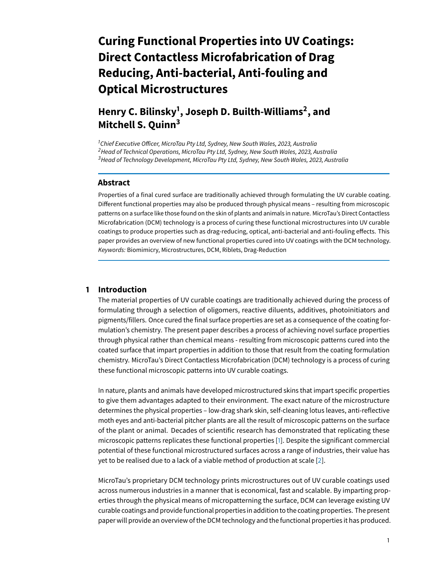# **Curing Functional Properties into UV Coatings: Direct Contactless Microfabrication of Drag Reducing, Anti-bacterial, Anti-fouling and Optical Microstructures**

**Henry C. Bilinsky<sup>1</sup> , Joseph D. Builth-Williams<sup>2</sup> , and Mitchell S. Quinn<sup>3</sup>**

 $1$ Chief Executive Officer, MicroTau Pty Ltd, Sydney, New South Wales, 2023, Australia  $<sup>2</sup>$ Head of Technical Operations, MicroTau Pty Ltd, Sydney, New South Wales, 2023, Australia</sup> <sup>3</sup>Head of Technology Development, MicroTau Pty Ltd, Sydney, New South Wales, 2023, Australia

#### **Abstract**

Properties of a final cured surface are traditionally achieved through formulating the UV curable coating. Different functional properties may also be produced through physical means – resulting from microscopic patterns on a surface like those found on the skin of plants and animals in nature. MicroTau's Direct Contactless Microfabrication (DCM) technology is a process of curing these functional microstructures into UV curable coatings to produce properties such as drag-reducing, optical, anti-bacterial and anti-fouling effects. This paper provides an overview of new functional properties cured into UV coatings with the DCM technology. Keywords: Biomimicry, Microstructures, DCM, Riblets, Drag-Reduction

### **1 Introduction**

The material properties of UV curable coatings are traditionally achieved during the process of formulating through a selection of oligomers, reactive diluents, additives, photoinitiators and pigments/fillers. Once cured the final surface properties are set as a consequence of the coating formulation's chemistry. The present paper describes a process of achieving novel surface properties through physical rather than chemical means - resulting from microscopic patterns cured into the coated surface that impart properties in addition to those that result from the coating formulation chemistry. MicroTau's Direct Contactless Microfabrication (DCM) technology is a process of curing these functional microscopic patterns into UV curable coatings.

In nature, plants and animals have developed microstructured skins that impart specific properties to give them advantages adapted to their environment. The exact nature of the microstructure determines the physical properties – low-drag shark skin, self-cleaning lotus leaves, anti-reflective moth eyes and anti-bacterial pitcher plants are all the result of microscopic patterns on the surface of the plant or animal. Decades of scientific research has demonstrated that replicating these microscopic patterns replicates these functional properties [\[1\]](#page-7-0). Despite the significant commercial potential of these functional microstructured surfaces across a range of industries, their value has yet to be realised due to a lack of a viable method of production at scale [\[2\]](#page-7-1).

MicroTau's proprietary DCM technology prints microstructures out of UV curable coatings used across numerous industries in a manner that is economical, fast and scalable. By imparting properties through the physical means of micropatterning the surface, DCM can leverage existing UV curable coatings and providefunctional properties in addition to the coating properties. The present paper will provide an overview of the DCM technology and the functional properties it has produced.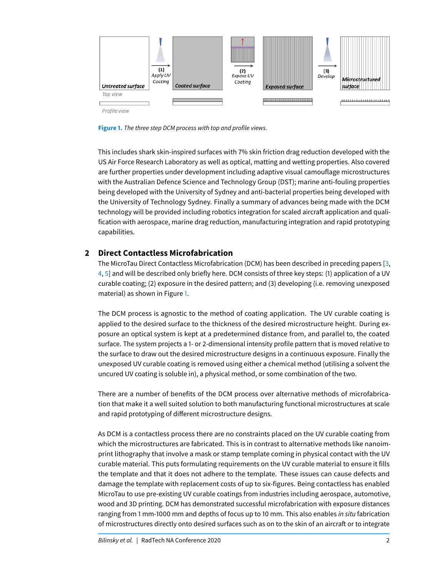<span id="page-1-0"></span>

**Figure 1.** The three step DCM process with top and profile views.

This includes shark skin-inspired surfaces with 7% skin friction drag reduction developed with the US Air Force Research Laboratory as well as optical, matting and wetting properties. Also covered are further properties under development including adaptive visual camouflage microstructures with the Australian Defence Science and Technology Group (DST); marine anti-fouling properties being developed with the University of Sydney and anti-bacterial properties being developed with the University of Technology Sydney. Finally a summary of advances being made with the DCM technology will be provided including robotics integration for scaled aircraft application and qualification with aerospace, marine drag reduction, manufacturing integration and rapid prototyping capabilities.

## **2 Direct Contactless Microfabrication**

The MicroTau Direct Contactless Microfabrication (DCM) has been described in preceding papers [\[3,](#page-8-0) [4,](#page-8-1) [5\]](#page-8-2) and will be described only briefly here. DCM consists of three key steps: (1) application of a UV curable coating; (2) exposure in the desired pattern; and (3) developing (i.e. removing unexposed material) as shown in Figure [1.](#page-1-0)

The DCM process is agnostic to the method of coating application. The UV curable coating is applied to the desired surface to the thickness of the desired microstructure height. During exposure an optical system is kept at a predetermined distance from, and parallel to, the coated surface. The system projects a 1- or 2-dimensional intensity profile pattern that is moved relative to the surface to draw out the desired microstructure designs in a continuous exposure. Finally the unexposed UV curable coating is removed using either a chemical method (utilising a solvent the uncured UV coating is soluble in), a physical method, or some combination of the two.

There are a number of benefits of the DCM process over alternative methods of microfabrication that make it a well suited solution to both manufacturing functional microstructures at scale and rapid prototyping of different microstructure designs.

As DCM is a contactless process there are no constraints placed on the UV curable coating from which the microstructures are fabricated. This is in contrast to alternative methods like nanoimprint lithography that involve a mask or stamp template coming in physical contact with the UV curable material. This puts formulating requirements on the UV curable material to ensure it fills the template and that it does not adhere to the template. These issues can cause defects and damage the template with replacement costs of up to six-figures. Being contactless has enabled MicroTau to use pre-existing UV curable coatings from industries including aerospace, automotive, wood and 3D printing. DCM has demonstrated successful microfabrication with exposure distances ranging from 1 mm-1000 mm and depths of focus up to 10 mm. This also enables in situ fabrication of microstructures directly onto desired surfaces such as on to the skin of an aircraft or to integrate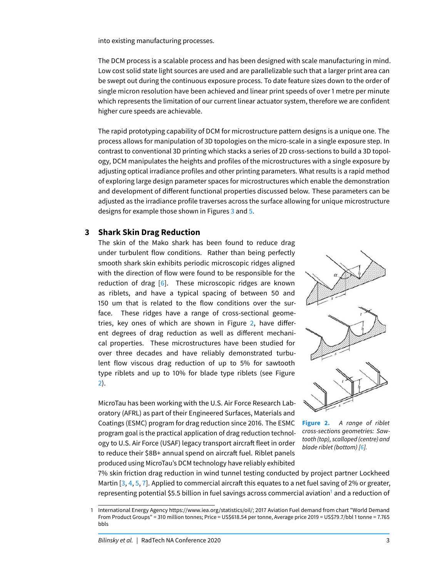into existing manufacturing processes.

The DCM process is a scalable process and has been designed with scale manufacturing in mind. Low cost solid state light sources are used and are parallelizable such that a larger print area can be swept out during the continuous exposure process. To date feature sizes down to the order of single micron resolution have been achieved and linear print speeds of over 1 metre per minute which represents the limitation of our current linear actuator system, therefore we are confident higher cure speeds are achievable.

The rapid prototyping capability of DCM for microstructure pattern designs is a unique one. The process allows for manipulation of 3D topologies on the micro-scale in a single exposure step. In contrast to conventional 3D printing which stacks a series of 2D cross-sections to build a 3D topology, DCM manipulates the heights and profiles of the microstructures with a single exposure by adjusting optical irradiance profiles and other printing parameters. What results is a rapid method of exploring large design parameter spaces for microstructures which enable the demonstration and development of different functional properties discussed below. These parameters can be adjusted as the irradiance profile traverses across the surface allowing for unique microstructure designs for example those shown in Figures [3](#page-3-0) and [5.](#page-4-0)

## **3 Shark Skin Drag Reduction**

The skin of the Mako shark has been found to reduce drag under turbulent flow conditions. Rather than being perfectly smooth shark skin exhibits periodic microscopic ridges aligned with the direction of flow were found to be responsible for the reduction of drag [\[6\]](#page-8-3). These microscopic ridges are known as riblets, and have a typical spacing of between 50 and 150 um that is related to the flow conditions over the surface. These ridges have a range of cross-sectional geome-tries, key ones of which are shown in Figure [2,](#page-2-0) have different degrees of drag reduction as well as different mechanical properties. These microstructures have been studied for over three decades and have reliably demonstrated turbulent flow viscous drag reduction of up to 5% for sawtooth type riblets and up to 10% for blade type riblets (see Figure [2\)](#page-2-0).

MicroTau has been working with the U.S. Air Force Research Laboratory (AFRL) as part of their Engineered Surfaces, Materials and Coatings (ESMC) program for drag reduction since 2016. The ESMC program goal is the practical application of drag reduction technology to U.S. Air Force (USAF) legacy transport aircraft fleet in order to reduce their \$8B+ annual spend on aircraft fuel. Riblet panels produced using MicroTau's DCM technology have reliably exhibited

<span id="page-2-0"></span>

**Figure 2.** A range of riblet cross-sections geometries: Sawtooth (top), scalloped (centre) and blade riblet (bottom) [\[6\]](#page-8-3).

7% skin friction drag reduction in wind tunnel testing conducted by project partner Lockheed Martin  $[3, 4, 5, 7]$  $[3, 4, 5, 7]$  $[3, 4, 5, 7]$  $[3, 4, 5, 7]$  $[3, 4, 5, 7]$  $[3, 4, 5, 7]$  $[3, 4, 5, 7]$ . Applied to commercial aircraft this equates to a net fuel saving of 2% or greater, representing potential \$5.5 billion in fuel savings across commercial aviation<sup>[1](#page-2-1)</sup> and a reduction of

<span id="page-2-1"></span><sup>1</sup> International Energy Agency https://www.iea.org/statistics/oil/; 2017 Aviation Fuel demand from chart "World Demand From Product Groups" = 310 million tonnes; Price = US\$618.54 per tonne, Average price 2019 = US\$79.7/bbl 1 tonne = 7.765 bbls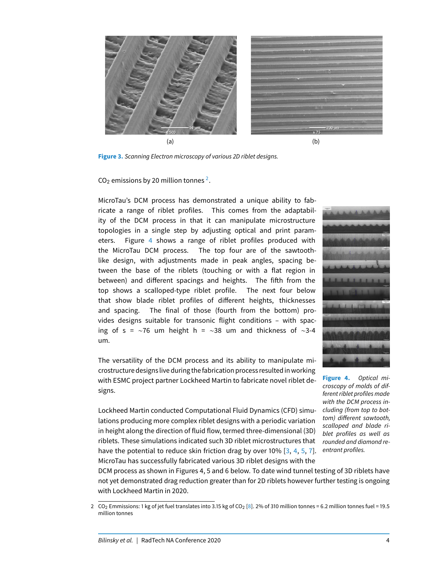<span id="page-3-0"></span>

**Figure 3.** Scanning Electron microscopy of various 2D riblet designs.

CO<sub>[2](#page-3-1)</sub> emissions by 20 million tonnes  $^2$ .

MicroTau's DCM process has demonstrated a unique ability to fabricate a range of riblet profiles. This comes from the adaptability of the DCM process in that it can manipulate microstructure topologies in a single step by adjusting optical and print parameters. Figure [4](#page-3-2) shows a range of riblet profiles produced with the MicroTau DCM process. The top four are of the sawtoothlike design, with adjustments made in peak angles, spacing between the base of the riblets (touching or with a flat region in between) and different spacings and heights. The fifth from the top shows a scalloped-type riblet profile. The next four below that show blade riblet profiles of different heights, thicknesses and spacing. The final of those (fourth from the bottom) provides designs suitable for transonic flight conditions – with spacing of s = ∼76 um height h = ∼38 um and thickness of ∼3-4 um.

The versatility of the DCM process and its ability to manipulate microstructure designs live during thefabrication process resulted in working with ESMC project partner Lockheed Martin to fabricate novel riblet designs.

Lockheed Martin conducted Computational Fluid Dynamics (CFD) simulations producing more complex riblet designs with a periodic variation in height along the direction of fluid flow, termed three-dimensional (3D) riblets. These simulations indicated such 3D riblet microstructures that have the potential to reduce skin friction drag by over 10% [\[3,](#page-8-0) [4,](#page-8-1) [5,](#page-8-2) [7\]](#page-8-4). MicroTau has successfully fabricated various 3D riblet designs with the

<span id="page-3-2"></span>

**Figure 4.** Optical microscopy of molds of different riblet profiles made with the DCM process including (from top to bottom) different sawtooth, scalloped and blade riblet profiles as well as rounded and diamond reentrant profiles.

DCM process as shown in Figures 4, 5 and 6 below. To date wind tunnel testing of 3D riblets have not yet demonstrated drag reduction greater than for 2D riblets however further testing is ongoing with Lockheed Martin in 2020.

<span id="page-3-1"></span><sup>2</sup> CO<sub>2</sub> Emmissions: 1 kg of jet fuel translates into 3.15 kg of CO<sub>2</sub> [\[8\]](#page-8-5). 2% of 310 million tonnes = 6.2 million tonnes fuel = 19.5 million tonnes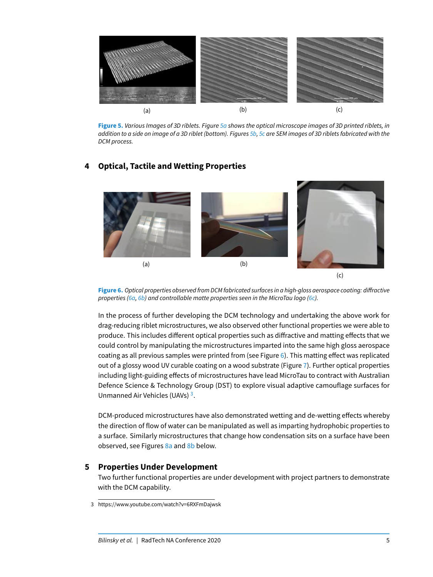<span id="page-4-0"></span>

**Figure 5.** Various Images of 3D riblets. Figure [5a](#page-4-0) shows the optical microscope images of 3D printed riblets, in addition to a side on image of a 3D riblet (bottom). Figures [5b,](#page-4-0) [5c](#page-4-0) are SEM images of 3D riblets fabricated with the DCM process.

# **4 Optical, Tactile and Wetting Properties**

<span id="page-4-1"></span>

(c)



In the process of further developing the DCM technology and undertaking the above work for drag-reducing riblet microstructures, we also observed other functional properties we were able to produce. This includes different optical properties such as diffractive and matting effects that we could control by manipulating the microstructures imparted into the same high gloss aerospace coating as all previous samples were printed from (see Figure  $6$ ). This matting effect was replicated out of a glossy wood UV curable coating on a wood substrate (Figure [7\)](#page-5-0). Further optical properties including light-guiding effects of microstructures have lead MicroTau to contract with Australian Defence Science & Technology Group (DST) to explore visual adaptive camouflage surfaces for Unmanned Air Vehicles (UAVs)<sup>[3](#page-4-2)</sup>.

DCM-produced microstructures have also demonstrated wetting and de-wetting effects whereby the direction of flow of water can be manipulated as well as imparting hydrophobic properties to a surface. Similarly microstructures that change how condensation sits on a surface have been observed, see Figures [8a](#page-5-1) and [8b](#page-5-1) below.

## **5 Properties Under Development**

Two further functional properties are under development with project partners to demonstrate with the DCM capability.

<span id="page-4-2"></span><sup>3</sup> https://www.youtube.com/watch?v=6RXFmDajwsk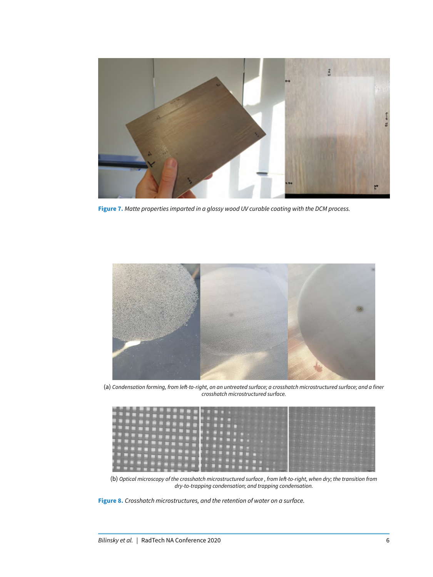<span id="page-5-0"></span>

**Figure 7.** Matte properties imparted in a glossy wood UV curable coating with the DCM process.

<span id="page-5-1"></span>

(a) Condensation forming, from left-to-right, on an untreated surface; a crosshatch microstructured surface; and a finer crosshatch microstructured surface.



(b) Optical microscopy of the crosshatch microstructured surface, from left-to-right, when dry; the transition from dry-to-trapping condensation; and trapping condensation.

**Figure 8.** Crosshatch microstructures, and the retention of water on a surface.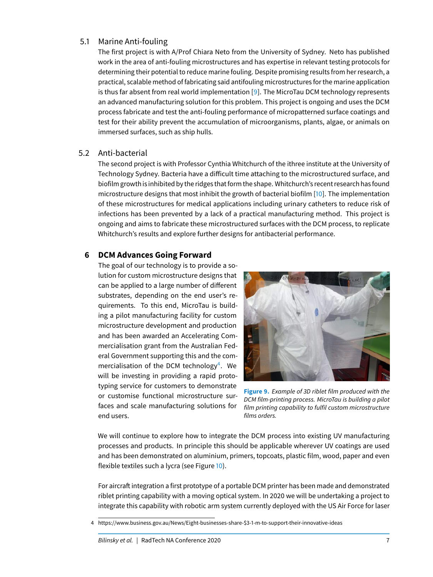## 5.1 Marine Anti-fouling

The first project is with A/Prof Chiara Neto from the University of Sydney. Neto has published work in the area of anti-fouling microstructures and has expertise in relevant testing protocols for determining their potential to reduce marine fouling. Despite promising results from her research, a practical, scalable method of fabricating said antifouling microstructures for the marine application is thus far absent from real world implementation [\[9\]](#page-8-6). The MicroTau DCM technology represents an advanced manufacturing solution for this problem. This project is ongoing and uses the DCM process fabricate and test the anti-fouling performance of micropatterned surface coatings and test for their ability prevent the accumulation of microorganisms, plants, algae, or animals on immersed surfaces, such as ship hulls.

#### 5.2 Anti-bacterial

The second project is with Professor Cynthia Whitchurch of the ithree institute at the University of Technology Sydney. Bacteria have a difficult time attaching to the microstructured surface, and biofilm growth is inhibited by the ridges that form the shape. Whitchurch's recent research has found microstructure designs that most inhibit the growth of bacterial biofilm [\[10\]](#page-8-7). The implementation of these microstructures for medical applications including urinary catheters to reduce risk of infections has been prevented by a lack of a practical manufacturing method. This project is ongoing and aims to fabricate these microstructured surfaces with the DCM process, to replicate Whitchurch's results and explore further designs for antibacterial performance.

### **6 DCM Advances Going Forward**

The goal of our technology is to provide a solution for custom microstructure designs that can be applied to a large number of different substrates, depending on the end user's requirements. To this end, MicroTau is building a pilot manufacturing facility for custom microstructure development and production and has been awarded an Accelerating Commercialisation grant from the Australian Federal Government supporting this and the com-mercialisation of the DCM technology<sup>[4](#page-6-0)</sup>. We will be investing in providing a rapid prototyping service for customers to demonstrate or customise functional microstructure surfaces and scale manufacturing solutions for end users.



**Figure 9.** Example of 3D riblet film produced with the DCM film-printing process. MicroTau is building a pilot film printing capability to fulfil custom microstructure films orders.

We will continue to explore how to integrate the DCM process into existing UV manufacturing processes and products. In principle this should be applicable wherever UV coatings are used and has been demonstrated on aluminium, primers, topcoats, plastic film, wood, paper and even flexible textiles such a lycra (see Figure [10\)](#page-7-2).

For aircraft integration a first prototype of a portable DCM printer has been made and demonstrated riblet printing capability with a moving optical system. In 2020 we will be undertaking a project to integrate this capability with robotic arm system currently deployed with the US Air Force for laser

<span id="page-6-0"></span><sup>4</sup> https://www.business.gov.au/News/Eight-businesses-share-\$3-1-m-to-support-their-innovative-ideas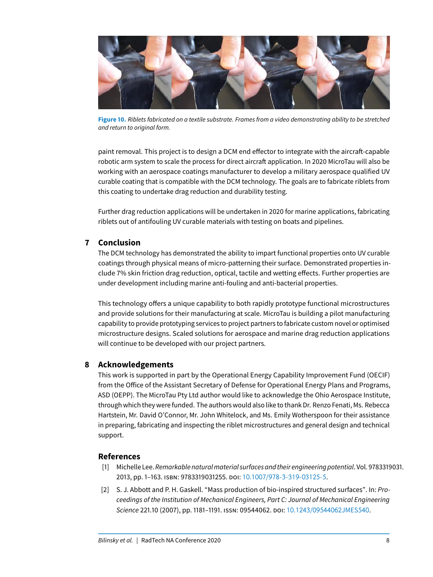<span id="page-7-2"></span>

**Figure 10.** Riblets fabricated on a textile substrate. Frames from a video demonstrating ability to be stretched and return to original form.

paint removal. This project is to design a DCM end effector to integrate with the aircraft-capable robotic arm system to scale the process for direct aircraft application. In 2020 MicroTau will also be working with an aerospace coatings manufacturer to develop a military aerospace qualified UV curable coating that is compatible with the DCM technology. The goals are to fabricate riblets from this coating to undertake drag reduction and durability testing.

Further drag reduction applications will be undertaken in 2020 for marine applications, fabricating riblets out of antifouling UV curable materials with testing on boats and pipelines.

## **7 Conclusion**

The DCM technology has demonstrated the ability to impart functional properties onto UV curable coatings through physical means of micro-patterning their surface. Demonstrated properties include 7% skin friction drag reduction, optical, tactile and wetting effects. Further properties are under development including marine anti-fouling and anti-bacterial properties.

This technology offers a unique capability to both rapidly prototype functional microstructures and provide solutions for their manufacturing at scale. MicroTau is building a pilot manufacturing capability to provide prototyping services to project partners to fabricate custom novel or optimised microstructure designs. Scaled solutions for aerospace and marine drag reduction applications will continue to be developed with our project partners.

## **8 Acknowledgements**

This work is supported in part by the Operational Energy Capability Improvement Fund (OECIF) from the Office of the Assistant Secretary of Defense for Operational Energy Plans and Programs, ASD (OEPP). The MicroTau Pty Ltd author would like to acknowledge the Ohio Aerospace Institute, through which they were funded. The authors would also like to thank Dr. Renzo Fenati, Ms. Rebecca Hartstein, Mr. David O'Connor, Mr. John Whitelock, and Ms. Emily Wotherspoon for their assistance in preparing, fabricating and inspecting the riblet microstructures and general design and technical support.

#### **References**

- <span id="page-7-0"></span>[1] Michelle Lee. Remarkable natural material surfaces and their engineering potential. Vol. 9783319031. 2013, pp. 1–163. ISBN: 9783319031255. DOI: 10.1007/978-3-319-[03125](https://doi.org/10.1007/978-3-319-03125-5)-5.
- <span id="page-7-1"></span>[2] S. J. Abbott and P. H. Gaskell. "Mass production of bio-inspired structured surfaces". In: Proceedings of the Institution of Mechanical Engineers, Part C: Journal of Mechanical Engineering Science 221.10 (2007), pp. 1181–1191. ISSN: 09544062. DOI: 10.1243/[09544062](https://doi.org/10.1243/09544062JMES540)JMES540.